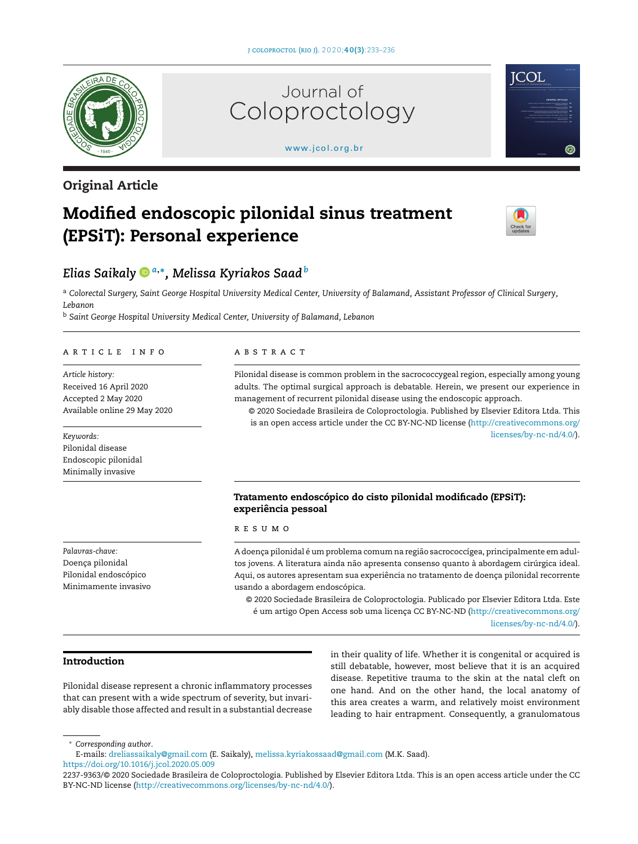[www.jcol.org.br](http://www.jcol.org.br)

Coloproctology

inrocto

Journal of



# **Original Article**

# **Modified endoscopic pilonidal sinus treatment (EPSiT): Personal experience**



**ICOL** 

# *Elias Saikal[y](https://orcid.org/0000-0003-3187-4694) <sup>a</sup>***,∗***, Melissa Kyriakos Saad<sup>b</sup>*

a Colorectal Surgery, Saint George Hospital University Medical Center, University of Balamand, Assistant Professor of Clinical Surgery, *Lebanon*

<sup>b</sup> *Saint George Hospital University Medical Center, University of Balamand, Lebanon*

#### a r t i c l e i n f o

*Article history:* Received 16 April 2020 Accepted 2 May 2020 Available online 29 May 2020

# *Keywords:* Pilonidal disease Endoscopic pilonidal Minimally invasive

*Palavras-chave:* Doença pilonidal Pilonidal endoscópico Minimamente invasivo

# a b s t r a c t

Pilonidal disease is common problem in the sacrococcygeal region, especially among young adults. The optimal surgical approach is debatable. Herein, we present our experience in management of recurrent pilonidal disease using the endoscopic approach.

© 2020 Sociedade Brasileira de Coloproctologia. Published by Elsevier Editora Ltda. This is an open access article under the CC BY-NC-ND license [\(http://creativecommons.org/](http://creativecommons.org/licenses/by-nc-nd/4.0/) [licenses/by-nc-nd/4.0/\)](http://creativecommons.org/licenses/by-nc-nd/4.0/).

# **Tratamento endoscópico do cisto pilonidal modificado (EPSiT): experiência pessoal**

#### r e s u m o

A doença pilonidal é um problema comum na região sacrococcígea, principalmente em adultos jovens. A literatura ainda não apresenta consenso quanto à abordagem cirúrgica ideal. Aqui, os autores apresentam sua experiência no tratamento de doença pilonidal recorrente usando a abordagem endoscópica.

© 2020 Sociedade Brasileira de Coloproctologia. Publicado por Elsevier Editora Ltda. Este é um artigo Open Access sob uma licença CC BY-NC-ND [\(http://creativecommons.org/](http://creativecommons.org/licenses/by-nc-nd/4.0/) [licenses/by-nc-nd/4.0/\)](http://creativecommons.org/licenses/by-nc-nd/4.0/).

# **Introduction**

Pilonidal disease represent a chronic inflammatory processes that can present with a wide spectrum of severity, but invariably disable those affected and result in a substantial decrease in their quality of life. Whether it is congenital or acquired is still debatable, however, most believe that it is an acquired disease. Repetitive trauma to the skin at the natal cleft on one hand. And on the other hand, the local anatomy of this area creates a warm, and relatively moist environment leading to hair entrapment. Consequently, a granulomatous

∗ *Corresponding author*.

<https://doi.org/10.1016/j.jcol.2020.05.009>

E-mails: [dreliassaikaly@gmail.com](mailto:dreliassaikaly@gmail.com) (E. Saikaly), [melissa.kyriakossaad@gmail.com](mailto:melissa.kyriakossaad@gmail.com) (M.K. Saad).

<sup>2237-9363/©</sup> 2020 Sociedade Brasileira de Coloproctologia. Published by Elsevier Editora Ltda. This is an open access article under the CC BY-NC-ND license (<http://creativecommons.org/licenses/by-nc-nd/4.0/>).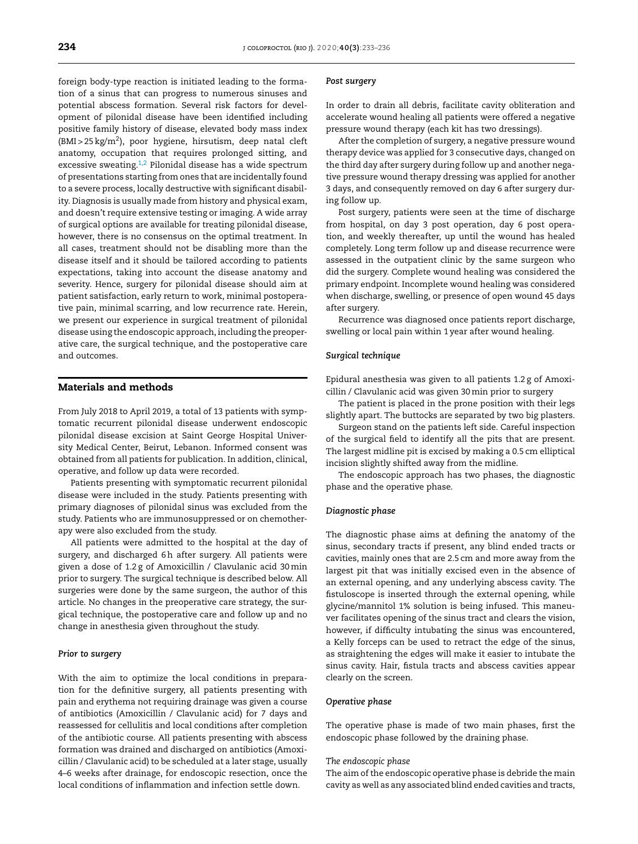foreign body-type reaction is initiated leading to the formation of a sinus that can progress to numerous sinuses and potential abscess formation. Several risk factors for development of pilonidal disease have been identified including positive family history of disease, elevated body mass index  $(BMI > 25 kg/m<sup>2</sup>)$ , poor hygiene, hirsutism, deep natal cleft anatomy, occupation that requires prolonged sitting, and excessive sweating. $1,2$  Pilonidal disease has a wide spectrum of presentations starting from ones that are incidentally found to a severe process, locally destructive with significant disability. Diagnosis is usually made from history and physical exam, and doesn't require extensive testing or imaging. A wide array of surgical options are available for treating pilonidal disease, however, there is no consensus on the optimal treatment. In all cases, treatment should not be disabling more than the disease itself and it should be tailored according to patients expectations, taking into account the disease anatomy and severity. Hence, surgery for pilonidal disease should aim at patient satisfaction, early return to work, minimal postoperative pain, minimal scarring, and low recurrence rate. Herein, we present our experience in surgical treatment of pilonidal disease using the endoscopic approach, including the preoperative care, the surgical technique, and the postoperative care and outcomes.

# **Materials and methods**

From July 2018 to April 2019, a total of 13 patients with symptomatic recurrent pilonidal disease underwent endoscopic pilonidal disease excision at Saint George Hospital University Medical Center, Beirut, Lebanon. Informed consent was obtained from all patients for publication. In addition, clinical, operative, and follow up data were recorded.

Patients presenting with symptomatic recurrent pilonidal disease were included in the study. Patients presenting with primary diagnoses of pilonidal sinus was excluded from the study. Patients who are immunosuppressed or on chemotherapy were also excluded from the study.

All patients were admitted to the hospital at the day of surgery, and discharged 6h after surgery. All patients were given a dose of 1.2 g of Amoxicillin / Clavulanic acid 30min prior to surgery. The surgical technique is described below. All surgeries were done by the same surgeon, the author of this article. No changes in the preoperative care strategy, the surgical technique, the postoperative care and follow up and no change in anesthesia given throughout the study.

#### *Prior to surgery*

With the aim to optimize the local conditions in preparation for the definitive surgery, all patients presenting with pain and erythema not requiring drainage was given a course of antibiotics (Amoxicillin / Clavulanic acid) for 7 days and reassessed for cellulitis and local conditions after completion of the antibiotic course. All patients presenting with abscess formation was drained and discharged on antibiotics (Amoxicillin / Clavulanic acid) to be scheduled at a later stage, usually 4–6 weeks after drainage, for endoscopic resection, once the local conditions of inflammation and infection settle down.

#### *Post surgery*

In order to drain all debris, facilitate cavity obliteration and accelerate wound healing all patients were offered a negative pressure wound therapy (each kit has two dressings).

After the completion of surgery, a negative pressure wound therapy device was applied for 3 consecutive days, changed on the third day after surgery during follow up and another negative pressure wound therapy dressing was applied for another 3 days, and consequently removed on day 6 after surgery during follow up.

Post surgery, patients were seen at the time of discharge from hospital, on day 3 post operation, day 6 post operation, and weekly thereafter, up until the wound has healed completely. Long term follow up and disease recurrence were assessed in the outpatient clinic by the same surgeon who did the surgery. Complete wound healing was considered the primary endpoint. Incomplete wound healing was considered when discharge, swelling, or presence of open wound 45 days after surgery.

Recurrence was diagnosed once patients report discharge, swelling or local pain within 1 year after wound healing.

#### *Surgical technique*

Epidural anesthesia was given to all patients 1.2 g of Amoxicillin / Clavulanic acid was given 30min prior to surgery

The patient is placed in the prone position with their legs slightly apart. The buttocks are separated by two big plasters.

Surgeon stand on the patients left side. Careful inspection of the surgical field to identify all the pits that are present. The largest midline pit is excised by making a 0.5 cm elliptical incision slightly shifted away from the midline.

The endoscopic approach has two phases, the diagnostic phase and the operative phase.

#### *Diagnostic phase*

The diagnostic phase aims at defining the anatomy of the sinus, secondary tracts if present, any blind ended tracts or cavities, mainly ones that are 2.5 cm and more away from the largest pit that was initially excised even in the absence of an external opening, and any underlying abscess cavity. The fistuloscope is inserted through the external opening, while glycine/mannitol 1% solution is being infused. This maneuver facilitates opening of the sinus tract and clears the vision, however, if difficulty intubating the sinus was encountered, a Kelly forceps can be used to retract the edge of the sinus, as straightening the edges will make it easier to intubate the sinus cavity. Hair, fistula tracts and abscess cavities appear clearly on the screen.

#### *Operative phase*

The operative phase is made of two main phases, first the endoscopic phase followed by the draining phase.

#### *The endoscopic phase*

The aim of the endoscopic operative phase is debride the main cavity as well as any associated blind ended cavities and tracts,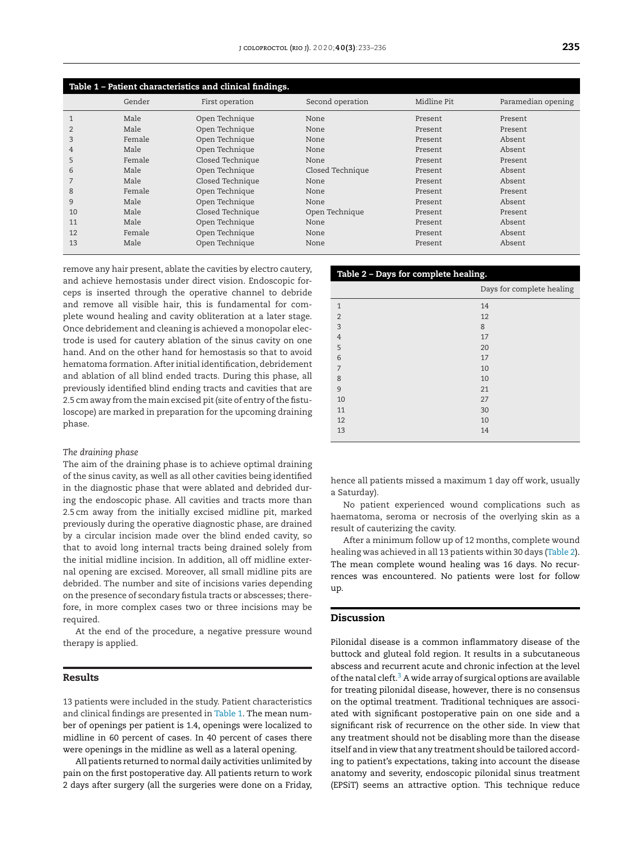| Table 1 – Patient characteristics and clinical findings. |        |                  |                  |             |                    |  |
|----------------------------------------------------------|--------|------------------|------------------|-------------|--------------------|--|
|                                                          | Gender | First operation  | Second operation | Midline Pit | Paramedian opening |  |
|                                                          | Male   | Open Technique   | None             | Present     | Present            |  |
| 2                                                        | Male   | Open Technique   | None             | Present     | Present            |  |
| 3                                                        | Female | Open Technique   | None             | Present     | Absent             |  |
| 4                                                        | Male   | Open Technique   | None             | Present     | Absent             |  |
| 5                                                        | Female | Closed Technique | None             | Present     | Present            |  |
| 6                                                        | Male   | Open Technique   | Closed Technique | Present     | Absent             |  |
|                                                          | Male   | Closed Technique | None             | Present     | Absent             |  |
| 8                                                        | Female | Open Technique   | None             | Present     | Present            |  |
| 9                                                        | Male   | Open Technique   | None             | Present     | Absent             |  |
| 10                                                       | Male   | Closed Technique | Open Technique   | Present     | Present            |  |
| 11                                                       | Male   | Open Technique   | None             | Present     | Absent             |  |
| 12                                                       | Female | Open Technique   | None             | Present     | Absent             |  |
| 13                                                       | Male   | Open Technique   | None             | Present     | Absent             |  |

remove any hair present, ablate the cavities by electro cautery, and achieve hemostasis under direct vision. Endoscopic forceps is inserted through the operative channel to debride and remove all visible hair, this is fundamental for complete wound healing and cavity obliteration at a later stage. Once debridement and cleaning is achieved a monopolar electrode is used for cautery ablation of the sinus cavity on one hand. And on the other hand for hemostasis so that to avoid hematoma formation. After initial identification, debridement and ablation of all blind ended tracts. During this phase, all previously identified blind ending tracts and cavities that are 2.5 cm away from the main excised pit (site of entry of the fistuloscope) are marked in preparation for the upcoming draining phase.

#### *The draining phase*

The aim of the draining phase is to achieve optimal draining of the sinus cavity, as well as all other cavities being identified in the diagnostic phase that were ablated and debrided during the endoscopic phase. All cavities and tracts more than 2.5 cm away from the initially excised midline pit, marked previously during the operative diagnostic phase, are drained by a circular incision made over the blind ended cavity, so that to avoid long internal tracts being drained solely from the initial midline incision. In addition, all off midline external opening are excised. Moreover, all small midline pits are debrided. The number and site of incisions varies depending on the presence of secondary fistula tracts or abscesses; therefore, in more complex cases two or three incisions may be required.

At the end of the procedure, a negative pressure wound therapy is applied.

# **Results**

13 patients were included in the study. Patient characteristics and clinical findings are presented in Table 1. The mean number of openings per patient is 1.4, openings were localized to midline in 60 percent of cases. In 40 percent of cases there were openings in the midline as well as a lateral opening.

All patients returned to normal daily activities unlimited by pain on the first postoperative day. All patients return to work 2 days after surgery (all the surgeries were done on a Friday,

#### **Table 2 – Days for complete healing.**

|                | Days for complete healing |
|----------------|---------------------------|
| $\mathbf{1}$   | 14                        |
| $\overline{2}$ | 12                        |
| 3              | 8                         |
| $\overline{4}$ | 17                        |
| 5              | 20                        |
| 6              | 17                        |
| $\overline{7}$ | 10                        |
| 8              | 10                        |
| 9              | 21                        |
| 10             | 27                        |
| 11             | 30                        |
| 12             | 10                        |
| 13             | 14                        |
|                |                           |

hence all patients missed a maximum 1 day off work, usually a Saturday).

No patient experienced wound complications such as haematoma, seroma or necrosis of the overlying skin as a result of cauterizing the cavity.

After a minimum follow up of 12 months, complete wound healing was achieved in all 13 patients within 30 days (Table 2). The mean complete wound healing was 16 days. No recurrences was encountered. No patients were lost for follow up.

# **Discussion**

Pilonidal disease is a common inflammatory disease of the buttock and gluteal fold region. It results in a subcutaneous abscess and recurrent acute and chronic infection at the level of the natal cleft.<sup>3</sup> A wide array of surgical options are available for treating pilonidal disease, however, there is no consensus on the optimal treatment. Traditional techniques are associated with significant postoperative pain on one side and a significant risk of recurrence on the other side. In view that any treatment should not be disabling more than the disease itself and in view that any treatment should be tailored according to patient's expectations, taking into account the disease anatomy and severity, endoscopic pilonidal sinus treatment (EPSiT) seems an attractive option. This technique reduce